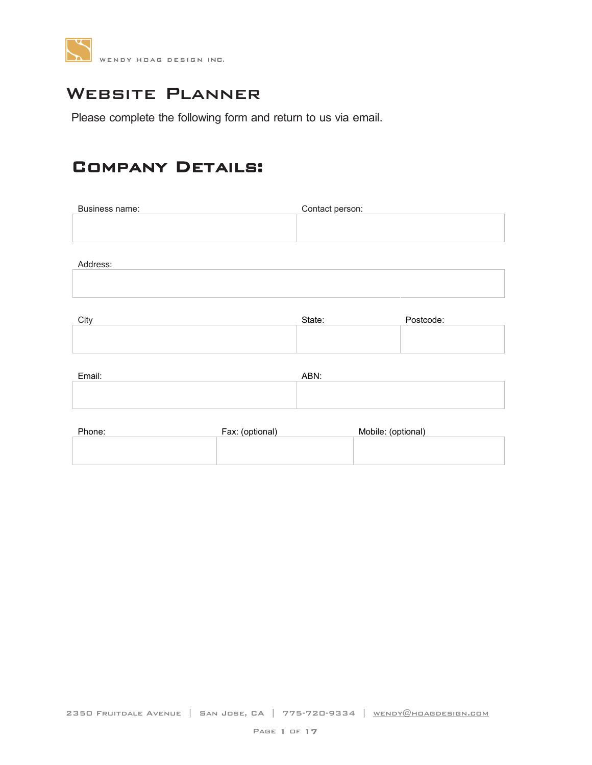

## WEBSITE PLANNER

Please complete the following form and return to us via email.

#### Company Details:

| Business name: | Contact person: |
|----------------|-----------------|
|                |                 |
|                |                 |

Address:

| City | ਾਂafe: | ıм |
|------|--------|----|
|      |        |    |

| ۱۱۷ | State: | POSICOUE. |
|-----|--------|-----------|
|     |        |           |
|     |        |           |
|     |        |           |
|     |        |           |
|     |        |           |

| Email: | ABN: |
|--------|------|
|        |      |
|        |      |

| Phone: | Fax: (optional) | Mobile: (optional) |
|--------|-----------------|--------------------|
|        |                 |                    |
|        |                 |                    |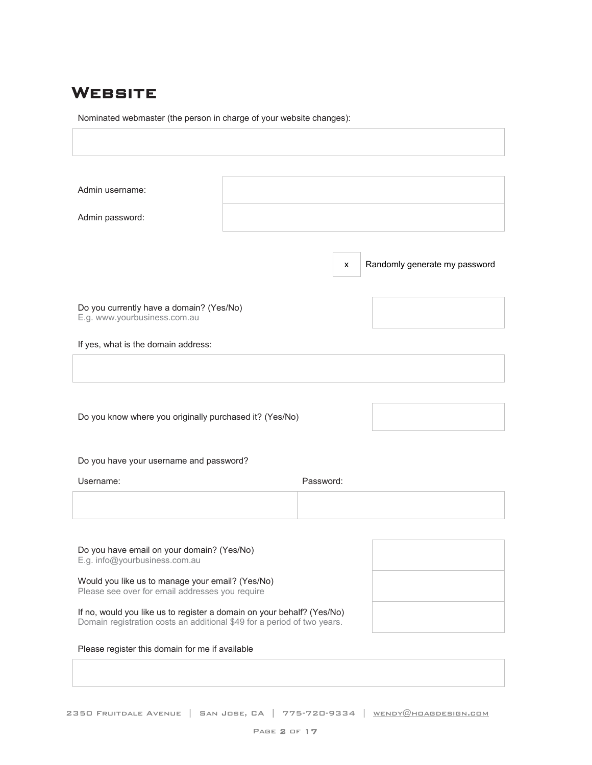#### **WEBSITE**

Г

Nominated webmaster (the person in charge of your website changes):

| Admin username:                                                                                                                                   |  |           |                               |  |
|---------------------------------------------------------------------------------------------------------------------------------------------------|--|-----------|-------------------------------|--|
| Admin password:                                                                                                                                   |  |           |                               |  |
|                                                                                                                                                   |  |           |                               |  |
|                                                                                                                                                   |  | x         | Randomly generate my password |  |
|                                                                                                                                                   |  |           |                               |  |
| Do you currently have a domain? (Yes/No)<br>E.g. www.yourbusiness.com.au                                                                          |  |           |                               |  |
| If yes, what is the domain address:                                                                                                               |  |           |                               |  |
|                                                                                                                                                   |  |           |                               |  |
|                                                                                                                                                   |  |           |                               |  |
| Do you know where you originally purchased it? (Yes/No)                                                                                           |  |           |                               |  |
|                                                                                                                                                   |  |           |                               |  |
| Do you have your username and password?                                                                                                           |  |           |                               |  |
| Username:                                                                                                                                         |  | Password: |                               |  |
|                                                                                                                                                   |  |           |                               |  |
|                                                                                                                                                   |  |           |                               |  |
| Do you have email on your domain? (Yes/No)<br>E.g. info@yourbusiness.com.au                                                                       |  |           |                               |  |
| Would you like us to manage your email? (Yes/No)<br>Please see over for email addresses you require                                               |  |           |                               |  |
| If no, would you like us to register a domain on your behalf? (Yes/No)<br>Domain registration costs an additional \$49 for a period of two years. |  |           |                               |  |
| Please register this domain for me if available                                                                                                   |  |           |                               |  |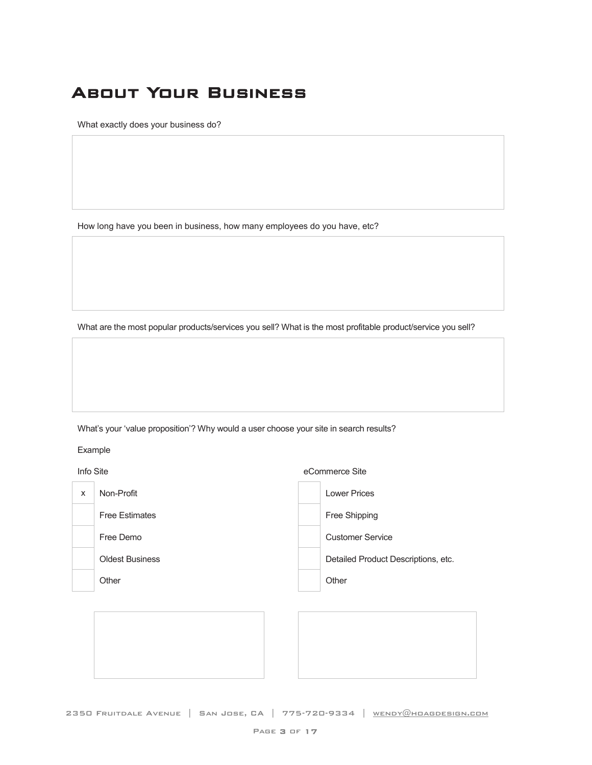# About Your Business

What exactly does your business do?

How long have you been in business, how many employees do you have, etc?

What are the most popular products/services you sell? What is the most profitable product/service you sell?

What's your 'value proposition'? Why would a user choose your site in search results?

Example

Info Site eCommerce Site

| $11110$ UILU |                        | <b>UUUIIIIIUIUU UILU</b>            |
|--------------|------------------------|-------------------------------------|
| X            | Non-Profit             | <b>Lower Prices</b>                 |
|              | <b>Free Estimates</b>  | Free Shipping                       |
|              | Free Demo              | <b>Customer Service</b>             |
|              | <b>Oldest Business</b> | Detailed Product Descriptions, etc. |
|              | Other                  | Other                               |
|              |                        |                                     |
|              |                        |                                     |



2350 Fruitdale Avenue | San Jose, CA | 775-720-9334 | [wendy@hoagdesign.com](mailto:wendy@hoagdesign.com)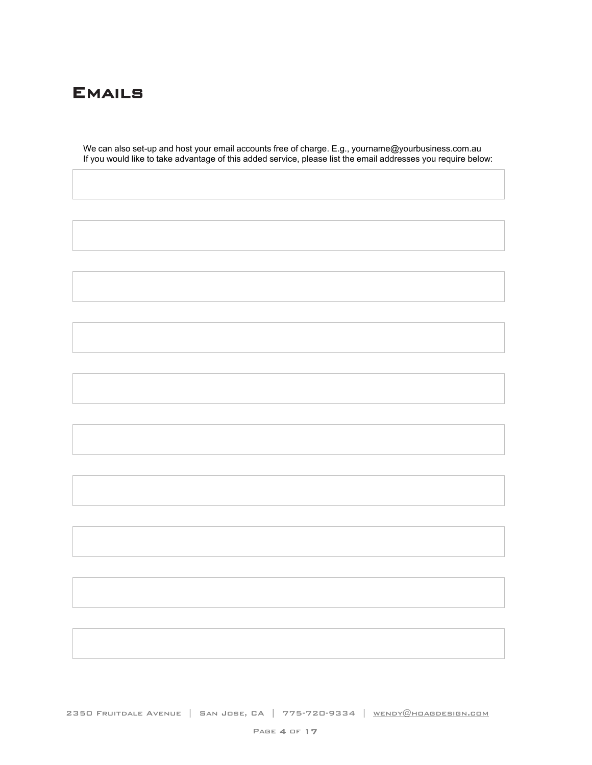

We can also set-up and host your email accounts free of charge. E.g., [yourname@yourbusiness.com.au](mailto:yourname@yourbusiness.com.au) If you would like to take advantage of this added service, please list the email addresses you require below:

2350 Fruitdale Avenue | San Jose, CA | 775-720-9334 | WENDY@HOAGDESIGN.COM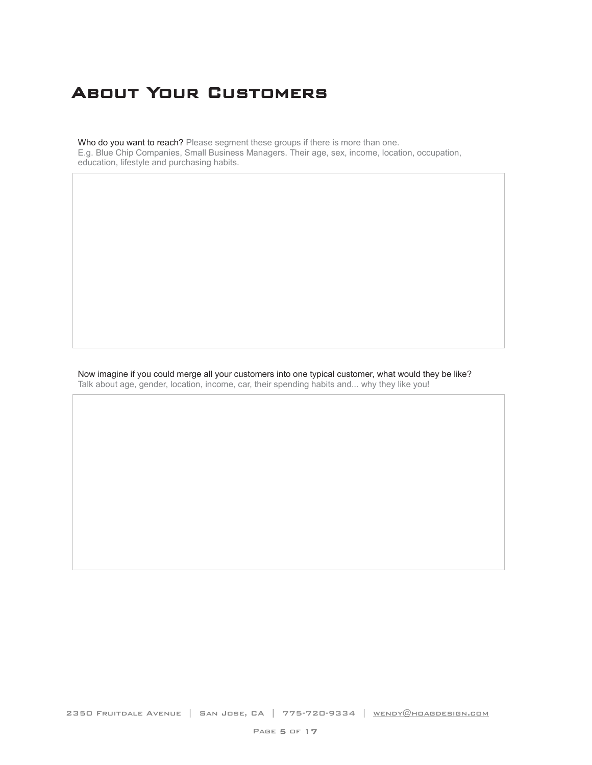# About Your Customers

Who do you want to reach? Please segment these groups if there is more than one. E.g. Blue Chip Companies, Small Business Managers. Their age, sex, income, location, occupation, education, lifestyle and purchasing habits.

Now imagine if you could merge all your customers into one typical customer, what would they be like? Talk about age, gender, location, income, car, their spending habits and... why they like you!

2350 FRUITDALE AVENUE | SAN JOSE, CA | 775-720-9334 | WENDY@HOAGDESIGN.COM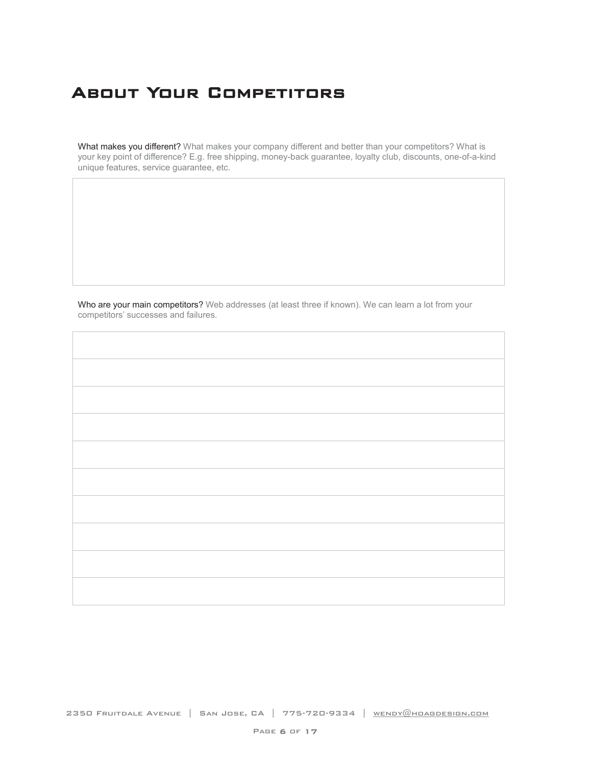# About Your Competitors

What makes you different? What makes your company different and better than your competitors? What is your key point of difference? E.g. free shipping, money-back guarantee, loyalty club, discounts, one-of-a-kind unique features, service guarantee, etc.

Who are your main competitors? Web addresses (at least three if known). We can learn a lot from your competitors' successes and failures.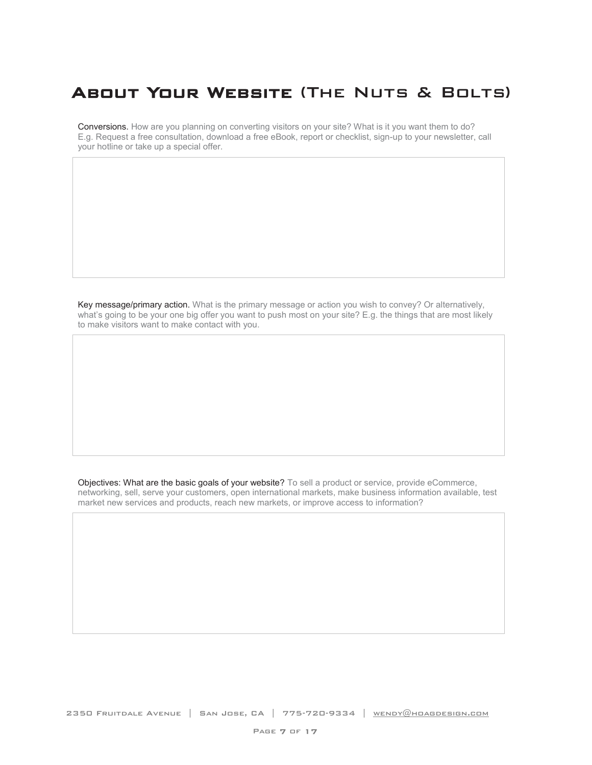# About Your Website (The Nuts & Bolts)

Conversions. How are you planning on converting visitors on your site? What is it you want them to do? E.g. Request a free consultation, download a free eBook, report or checklist, sign-up to your newsletter, call your hotline or take up a special offer.

Key message/primary action. What is the primary message or action you wish to convey? Or alternatively, what's going to be your one big offer you want to push most on your site? E.g. the things that are most likely to make visitors want to make contact with you.

Objectives: What are the basic goals of your website? To sell a product or service, provide eCommerce, networking, sell, serve your customers, open international markets, make business information available, test market new services and products, reach new markets, or improve access to information?

2350 FRUITDALE AVENUE | SAN JOSE, CA | 775-720-9334 | WENDY@HOAGDESIGN.COM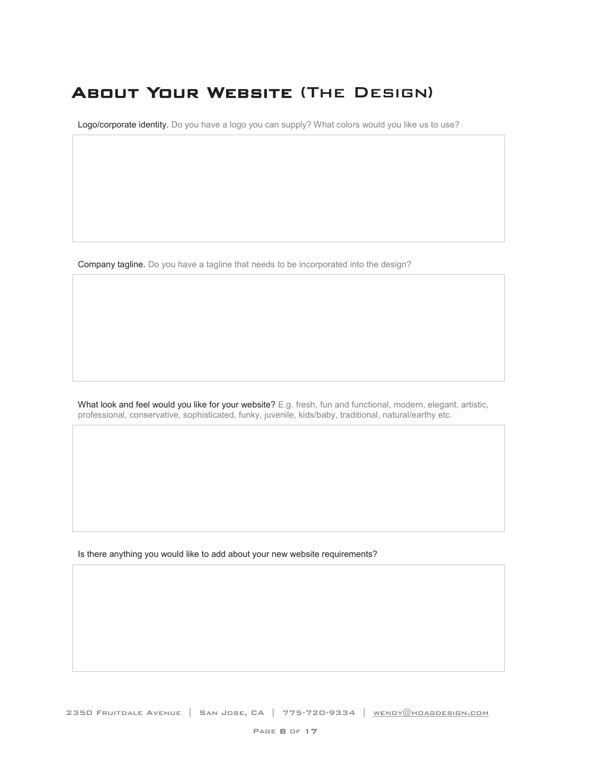# About Your Website (The Design)

Logo/corporate identity. Do you have a logo you can supply? What colors would you like us to use?

Company tagline. Do you have a tagline that needs to be incorporated into the design?

What look and feel would you like for your website? E.g. fresh, fun and functional, modern, elegant, artistic, professional, conservative, sophisticated, funky, juvenile, kids/baby, traditional, natural/earthy etc.

Is there anything you would like to add about your new website requirements?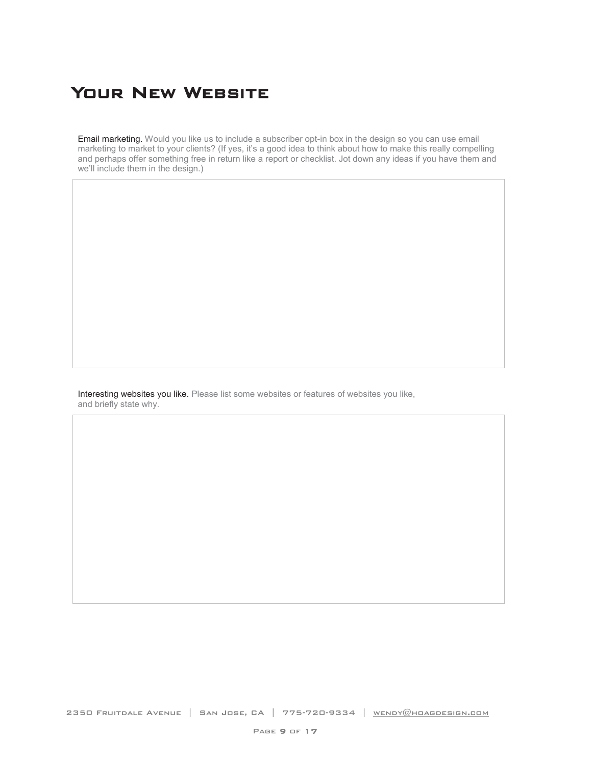## YOUR NEW WEBSITE

Email marketing. Would you like us to include a subscriber opt-in box in the design so you can use email marketing to market to your clients? (If yes, it's a good idea to think about how to make this really compelling and perhaps offer something free in return like a report or checklist. Jot down any ideas if you have them and we'll include them in the design.)

Interesting websites you like. Please list some websites or features of websites you like, and briefly state why.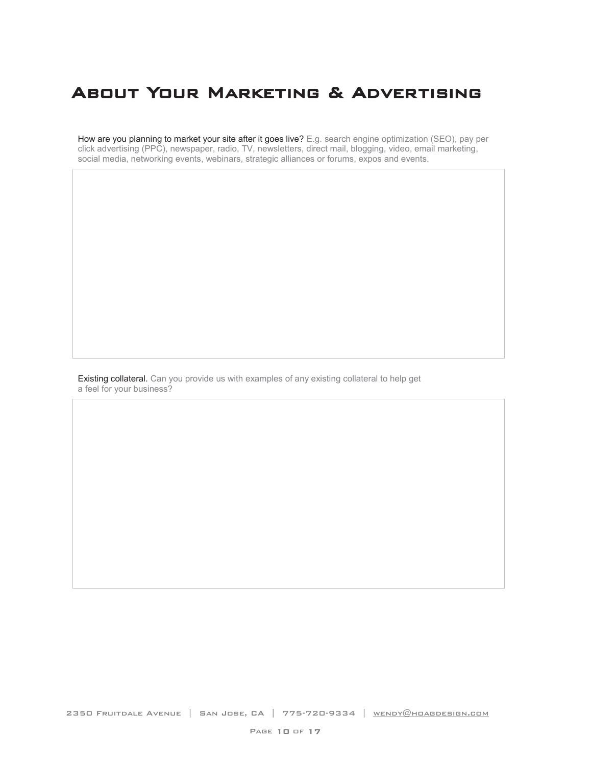## About Your Marketing & Advertising

How are you planning to market your site after it goes live? E.g. search engine optimization (SEO), pay per click advertising (PPC), newspaper, radio, TV, newsletters, direct mail, blogging, video, email marketing, social media, networking events, webinars, strategic alliances or forums, expos and events.

Existing collateral. Can you provide us with examples of any existing collateral to help get a feel for your business?

2350 FRUITDALE AVENUE | SAN JOSE, CA | 775-720-9334 | WENDY@HOAGDESIGN.COM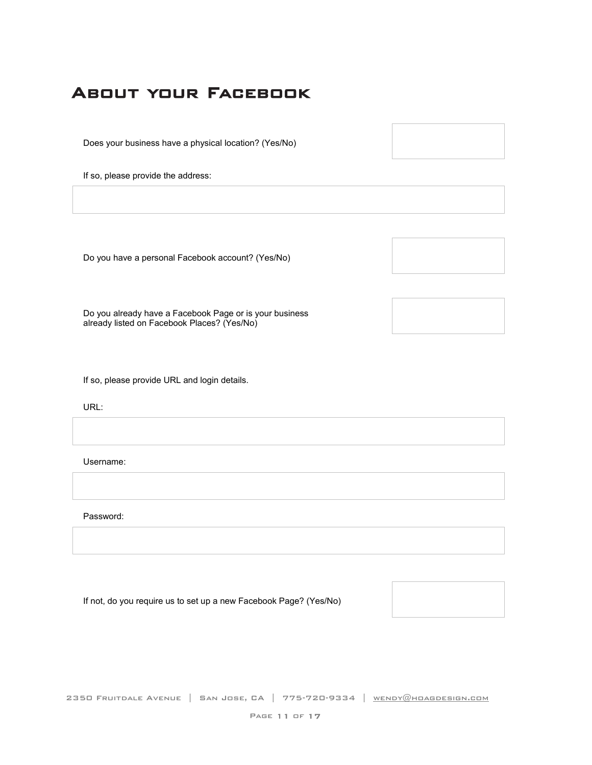## About your Facebook

Does your business have a physical location? (Yes/No)

If so, please provide the address:

Do you have a personal Facebook account? (Yes/No)

Do you already have a Facebook Page or is your business already listed on Facebook Places? (Yes/No)

If so, please provide URL and login details.

URL:

Username:

Password:

If not, do you require us to set up a new Facebook Page? (Yes/No)



2350 Fruitdale Avenue | San Jose, CA | 775-720-9334 | WENDY@HOAGDESIGN.COM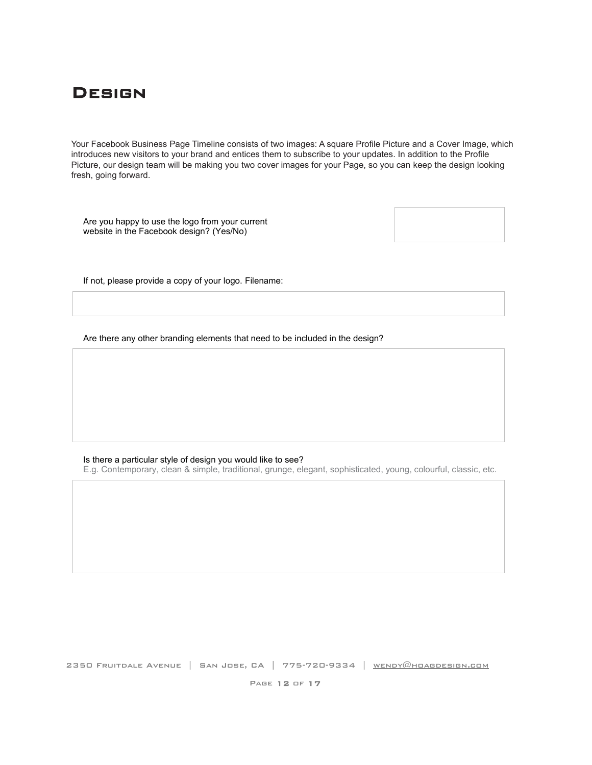#### **DESIGN**

Your Facebook Business Page Timeline consists of two images: A square Profile Picture and a Cover Image, which introduces new visitors to your brand and entices them to subscribe to your updates. In addition to the Profile Picture, our design team will be making you two cover images for your Page, so you can keep the design looking fresh, going forward.

Are you happy to use the logo from your current website in the Facebook design? (Yes/No)



If not, please provide a copy of your logo. Filename:

Are there any other branding elements that need to be included in the design?

#### Is there a particular style of design you would like to see?

E.g. Contemporary, clean & simple, traditional, grunge, elegant, sophisticated, young, colourful, classic, etc.

2350 Fruitdale Avenue | San Jose, CA | 775-720-9334 | [wendy@hoagdesign.com](mailto:wendy@hoagdesign.com)

Page 12 of 17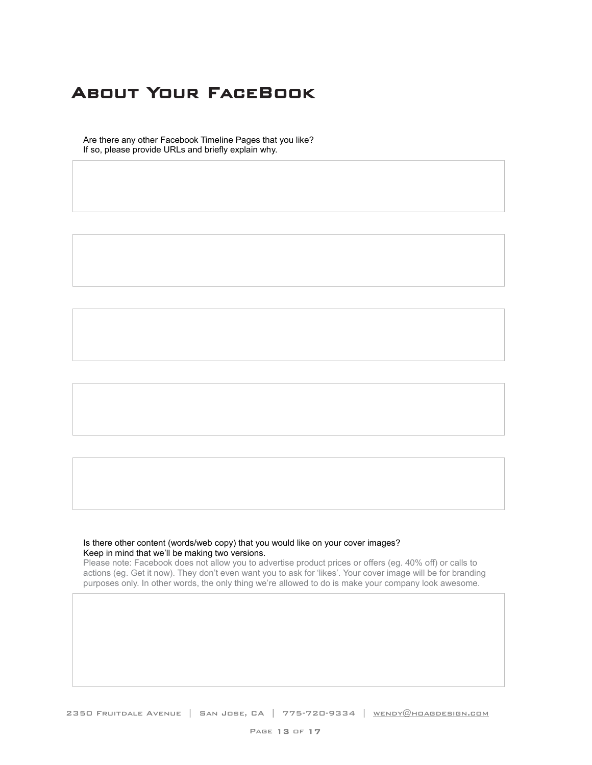# About Your FaceBook

Are there any other Facebook Timeline Pages that you like? If so, please provide URLs and briefly explain why.

#### Is there other content (words/web copy) that you would like on your cover images? Keep in mind that we'll be making two versions.

Please note: Facebook does not allow you to advertise product prices or offers (eg. 40% off) or calls to actions (eg. Get it now). They don't even want you to ask for 'likes'. Your cover image will be for branding purposes only. In other words, the only thing we're allowed to do is make your company look awesome.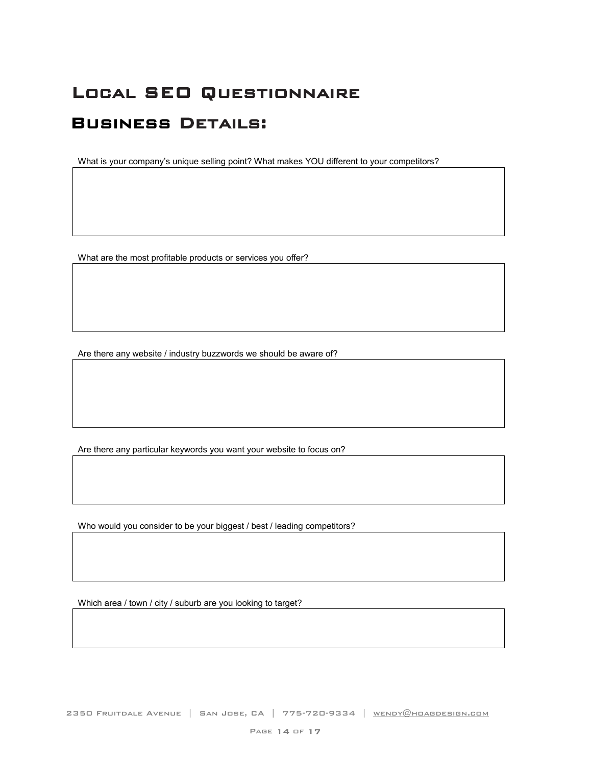# Local SEO Questionnaire

#### Business Details:

What is your company's unique selling point? What makes YOU different to your competitors?

What are the most profitable products or services you offer?

Are there any website / industry buzzwords we should be aware of?

Are there any particular keywords you want your website to focus on?

Who would you consider to be your biggest / best / leading competitors?

Which area / town / city / suburb are you looking to target?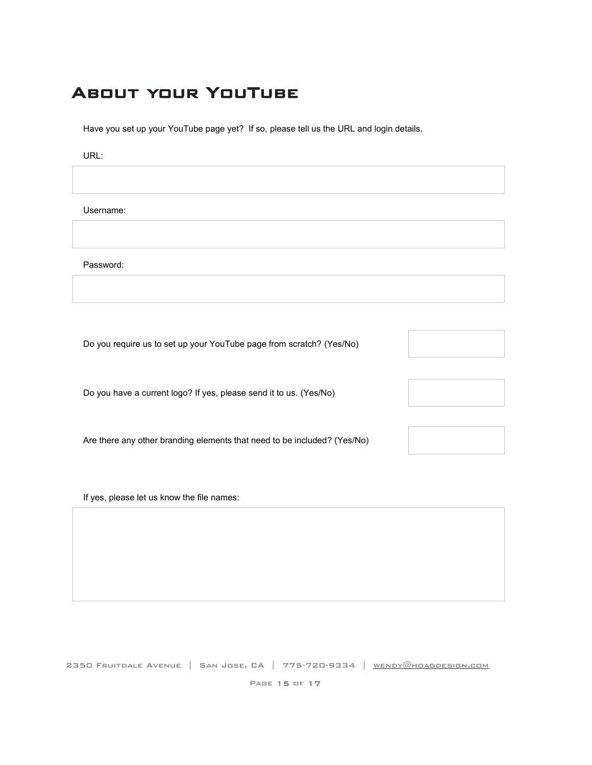# About your YouTube

Have you set up your YouTube page yet? If so, please tell us the URL and login details.

URL:

Username:

Password:

Do you require us to set up your YouTube page from scratch? (Yes/No)

Do you have a current logo? If yes, please send it to us. (Yes/No)

Are there any other branding elements that need to be included? (Yes/No)

If yes, please let us know the file names:



Page 15 of 17

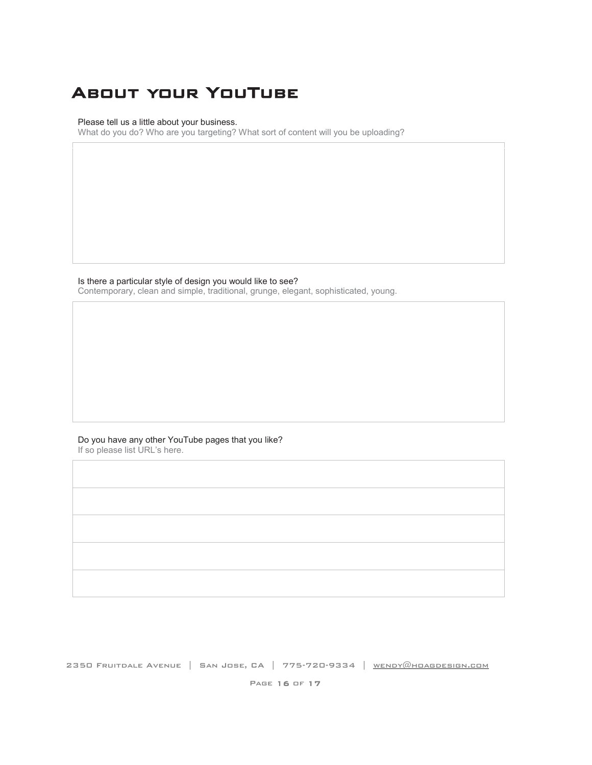# About your YouTube

Please tell us a little about your business.

What do you do? Who are you targeting? What sort of content will you be uploading?

Is there a particular style of design you would like to see?

Contemporary, clean and simple, traditional, grunge, elegant, sophisticated, young.

Do you have any other YouTube pages that you like? If so please list URL's here.

2350 FRUITDALE AVENUE | SAN JOSE, CA | 775-720-9334 | WENDY@HOAGDESIGN.COM

PAGE 16 OF 17